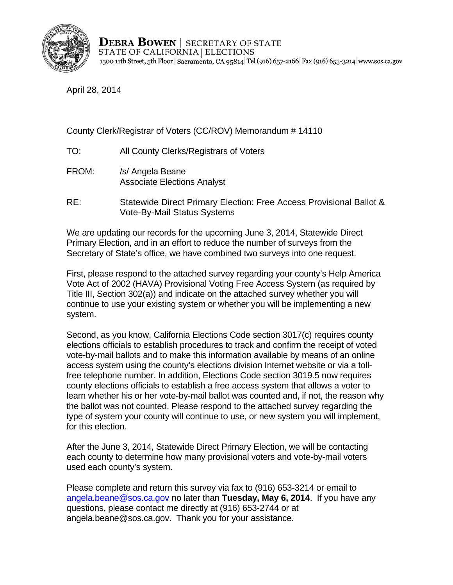

**DEBRA BOWEN** | SECRETARY OF STATE STATE OF CALIFORNIA | ELECTIONS 1500 11th Street, 5th Floor | Sacramento, CA 95814 Tel (916) 657-2166 | Fax (916) 653-3214 | www.sos.ca.gov

April 28, 2014

County Clerk/Registrar of Voters (CC/ROV) Memorandum # 14110

- TO: All County Clerks/Registrars of Voters
- FROM: /s/ Angela Beane Associate Elections Analyst
- RE: Statewide Direct Primary Election: Free Access Provisional Ballot & Vote-By-Mail Status Systems

We are updating our records for the upcoming June 3, 2014, Statewide Direct Primary Election, and in an effort to reduce the number of surveys from the Secretary of State's office, we have combined two surveys into one request.

First, please respond to the attached survey regarding your county's Help America Vote Act of 2002 (HAVA) Provisional Voting Free Access System (as required by Title III, Section 302(a)) and indicate on the attached survey whether you will continue to use your existing system or whether you will be implementing a new system.

Second, as you know, California Elections Code section 3017(c) requires county elections officials to establish procedures to track and confirm the receipt of voted vote-by-mail ballots and to make this information available by means of an online access system using the county's elections division Internet website or via a tollfree telephone number. In addition, Elections Code section 3019.5 now requires county elections officials to establish a free access system that allows a voter to learn whether his or her vote-by-mail ballot was counted and, if not, the reason why the ballot was not counted. Please respond to the attached survey regarding the type of system your county will continue to use, or new system you will implement, for this election.

After the June 3, 2014, Statewide Direct Primary Election, we will be contacting each county to determine how many provisional voters and vote-by-mail voters used each county's system.

Please complete and return this survey via fax to (916) 653-3214 or email to angela.beane@sos.ca.gov no later than **Tuesday, May 6, 2014**. If you have any questions, please contact me directly at (916) 653-2744 or at angela.beane@sos.ca.gov. Thank you for your assistance.